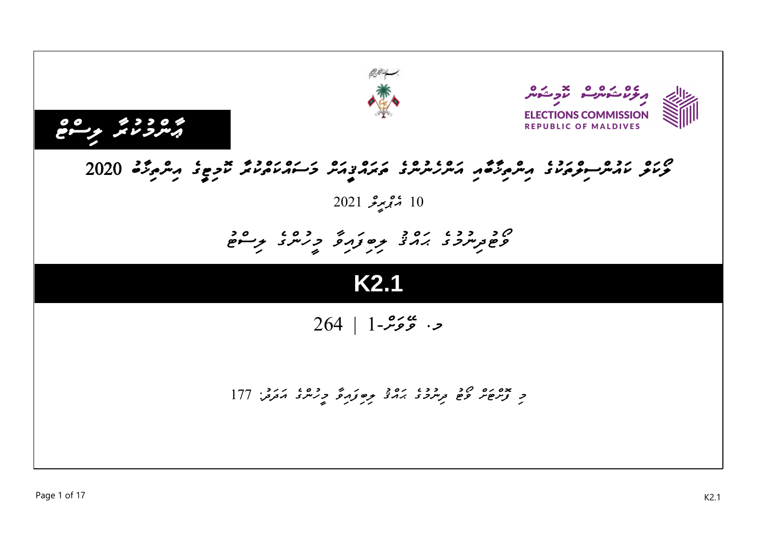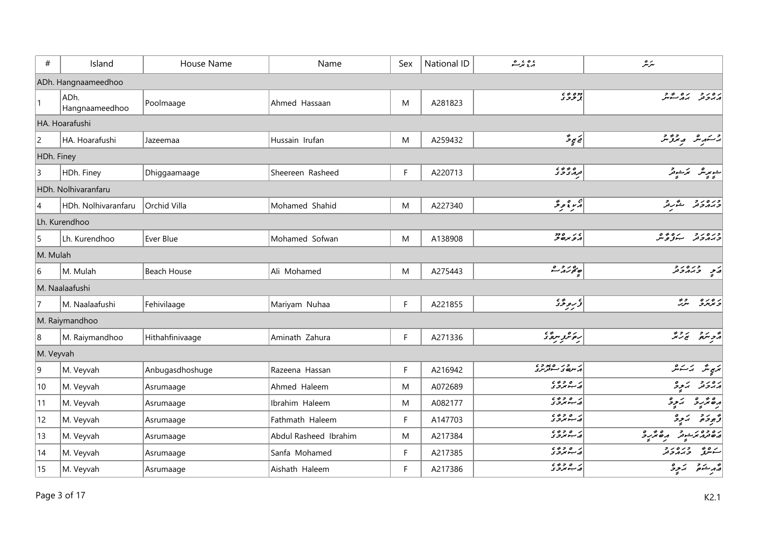| #            | Island                 | House Name      | Name                  | Sex       | National ID | ، ه ، ره<br>د ، برگ             | ىئرىتر                                |
|--------------|------------------------|-----------------|-----------------------|-----------|-------------|---------------------------------|---------------------------------------|
|              | ADh. Hangnaameedhoo    |                 |                       |           |             |                                 |                                       |
|              | ADh.<br>Hangnaameedhoo | Poolmaage       | Ahmed Hassaan         | ${\sf M}$ | A281823     | دد ه پر پر<br>تر مرد بر         | رەرد رەشىر                            |
|              | HA. Hoarafushi         |                 |                       |           |             |                                 |                                       |
| 2            | HA. Hoarafushi         | Jazeemaa        | Hussain Irufan        | ${\sf M}$ | A259432     | تع ی پر                         | برسكريش ويرؤش                         |
| HDh. Finey   |                        |                 |                       |           |             |                                 |                                       |
| 3            | HDh. Finey             | Dhiggaamaage    | Sheereen Rasheed      | F         | A220713     | ه ۵ پو د<br>تو <i>۸ پ</i>       | الشومريكر - مركبوتر<br>- تائي         |
|              | HDh. Nolhivaranfaru    |                 |                       |           |             |                                 |                                       |
| 4            | HDh. Nolhivaranfaru    | Orchid Villa    | Mohamed Shahid        | M         | A227340     | پر یا <sub>عرف</sub> قه         | ورەر دېمبر د                          |
|              | Lh. Kurendhoo          |                 |                       |           |             |                                 |                                       |
| 5            | Lh. Kurendhoo          | Ever Blue       | Mohamed Sofwan        | ${\sf M}$ | A138908     | ג גם זק<br>ג'ק זקס <del>ק</del> | ورەرد رەپەە<br><i>جەمەدىر سۆۋ</i> ىر  |
| M. Mulah     |                        |                 |                       |           |             |                                 |                                       |
| 6            | M. Mulah               | Beach House     | Ali Mohamed           | ${\sf M}$ | A275443     | ھەمجەر مەھ                      | أتمني وبره برد                        |
|              | M. Naalaafushi         |                 |                       |           |             |                                 |                                       |
|              | M. Naalaafushi         | Fehivilaage     | Mariyam Nuhaa         | F         | A221855     | ۇر <sub>ىرىم</sub> ۇ ئ          | سرجر<br>ر ه ر ه<br><del>ر</del> بربرگ |
|              | M. Raiymandhoo         |                 |                       |           |             |                                 |                                       |
| 8            | M. Raiymandhoo         | Hithahfinivaage | Aminath Zahura        | F         | A271336     | رۇشۇر بىرقە ئ                   | أوجه يتمرح                            |
| M. Veyvah    |                        |                 |                       |           |             |                                 |                                       |
| $\vert$ 9    | M. Veyvah              | Anbugasdhoshuge | Razeena Hassan        | F         | A216942     | ر<br>پرسرچي کشور دی             | ىكىپەش كەسكەش                         |
| $ 10\rangle$ | M. Veyvah              | Asrumaage       | Ahmed Haleem          | M         | A072689     | ر ۵ ۶ ۶ ۶<br>ه سومرو ی          | دەر ج كەردۇ                           |
| 11           | M. Veyvah              | Asrumaage       | Ibrahim Haleem        | M         | A082177     | ر ۱۵ وی د<br>هرسونوری           | رە ئرىرو كېرو                         |
| 12           | M. Veyvah              | Asrumaage       | Fathmath Haleem       | F         | A147703     | ر ۵ ۶ ۶ ۶<br>۵ سومرو د          | تزودة بمود                            |
| 13           | M. Veyvah              | Asrumaage       | Abdul Rasheed Ibrahim | ${\sf M}$ | A217384     | ر ۵ ۶ ۶ ۹<br>۵ ۶ ۶ ۶ ۶ ۶        | גם כם הצייני הסיקיק                   |
| 14           | M. Veyvah              | Asrumaage       | Sanfa Mohamed         | F         | A217385     | ر ہ و دی<br>ه سومرو د           | شەھ دىرەرد                            |
| 15           | M. Veyvah              | Asrumaage       | Aishath Haleem        | F         | A217386     | ر ۵ ۶ ۶ ۶<br>۵ سومرو د          | مەر شەق بەرد                          |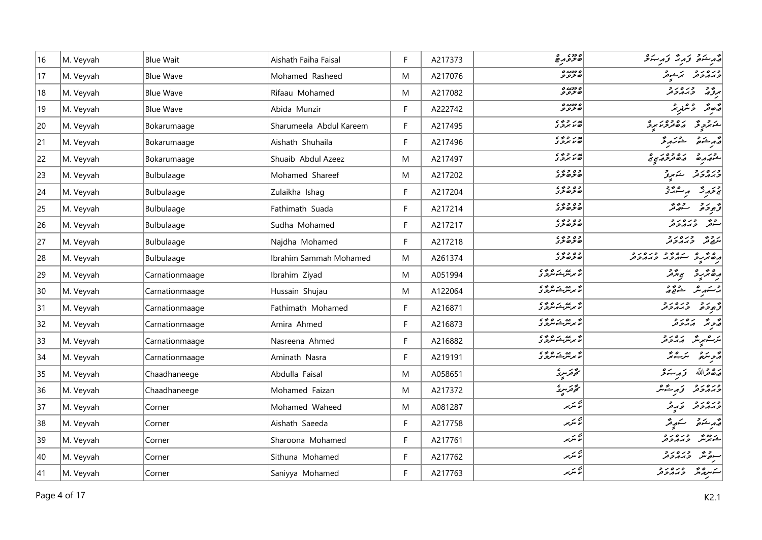| 16 | M. Veyvah | <b>Blue Wait</b> | Aishath Faiha Faisal    | F         | A217373 | ە ددى.<br>ھىرو بەھ                                | وكرمشي وكربة وكرجنى                   |
|----|-----------|------------------|-------------------------|-----------|---------|---------------------------------------------------|---------------------------------------|
| 17 | M. Veyvah | <b>Blue Wave</b> | Mohamed Rasheed         | ${\sf M}$ | A217076 | ه دور، ه<br>ن موړو                                | وره د و هم مرکب د حم                  |
| 18 | M. Veyvah | <b>Blue Wave</b> | Rifaau Mohamed          | M         | A217082 | ه دور، ه<br>ن موړو                                | برود وره دو                           |
| 19 | M. Veyvah | <b>Blue Wave</b> | Abida Munzir            | F         | A222742 | ه ددن ه<br>ن مود و                                | ړٌونَر د عربي                         |
| 20 | M. Veyvah | Bokarumaage      | Sharumeela Abdul Kareem | F         | A217495 | پر ر د » ،<br><i>ه ۷ برد د</i>                    | شريري رەدەرىر                         |
| 21 | M. Veyvah | Bokarumaage      | Aishath Shuhaila        | F         | A217496 | پر ر د د ،<br><i>ه ما بر 5 د</i>                  | ۇرىشقۇ ھەرىرى                         |
| 22 | M. Veyvah | Bokarumaage      | Shuaib Abdul Azeez      | ${\sf M}$ | A217497 | پر ر د » ،<br><i>ه ۷ برو ی</i>                    |                                       |
| 23 | M. Veyvah | Bulbulaage       | Mohamed Shareef         | ${\sf M}$ | A217202 | و ه و و »<br><b>ن</b> ه موگور                     | ورەر دېم شەرى                         |
| 24 | M. Veyvah | Bulbulaage       | Zulaikha Ishaq          | F         | A217204 | د ه د د »<br>صوصور                                | كمحركر مسترجمة                        |
| 25 | M. Veyvah | Bulbulaage       | Fathimath Suada         | F         | A217214 | د ه د د »<br>صوصور                                | قرموحر ومحتمد                         |
| 26 | M. Veyvah | Bulbulaage       | Sudha Mohamed           | F         | A217217 | وه و د »<br><b>ن</b> ه <del>و</del> ن و د         | رويو وره رو                           |
| 27 | M. Veyvah | Bulbulaage       | Najdha Mohamed          | F         | A217218 | و ه و و »<br><b>ت</b> ه نومو د                    | ر و په وره ر و<br>سرچ تر کا د برگرفتر |
| 28 | M. Veyvah | Bulbulaage       | Ibrahim Sammah Mohamed  | ${\sf M}$ | A261374 | و ه و و »<br><b>ت</b> ه نومو د                    |                                       |
| 29 | M. Veyvah | Carnationmaage   | Ibrahim Ziyad           | M         | A051994 | ر میں بھی دیا ہے<br>مائیں بھی بھی توجہ ی          | مەھەر بەھ<br>مەھەر بەھ                |
| 30 | M. Veyvah | Carnationmaage   | Hussain Shujau          | M         | A122064 | رسى ئەسىرى ئەسىرى<br>مەسرىت ئىس                   | جر شکهر شر شده می ها                  |
| 31 | M. Veyvah | Carnationmaage   | Fathimath Mohamed       | F         | A216871 | رم پر پر مارچ دي.<br>مرکز پر سرچ ي                | و ده دره در                           |
| 32 | M. Veyvah | Carnationmaage   | Amira Ahmed             | F         | A216873 | ر میں سر سر دی دی دی تھی۔<br>ماہ سر سر سر سر شر ت | ړو پر دروند                           |
| 33 | M. Veyvah | Carnationmaage   | Nasreena Ahmed          | F         | A216882 | ر<br>ما بىرىتزىشە مىرى <i>چ</i> ي                 | ىكرىشمېرىنگە كەبرىرى ئىر              |
| 34 | M. Veyvah | Carnationmaage   | Aminath Nasra           | F         | A219191 | ر سر پیوید و ه پر و<br>مرس                        | أأرمر مردونه                          |
| 35 | M. Veyvah | Chaadhaneege     | Abdulla Faisal          | M         | A058651 | ئۇ ئەرسىي<br>ئ                                    | مَصْحَدَاللَّهُ وَمُسْتَوَ            |
| 36 | M. Veyvah | Chaadhaneege     | Mohamed Faizan          | ${\sf M}$ | A217372 | ۇ ئەسرىي<br>ئى                                    | ورەرو تەرىئىر                         |
| 37 | M. Veyvah | Corner           | Mohamed Waheed          | ${\sf M}$ | A081287 | ہ<br>مذہبیہ                                       | ورەر دىر                              |
| 38 | M. Veyvah | Corner           | Aishath Saeeda          | F         | A217758 | ہ<br>مذمتر پر                                     | مەر شەم كەر تىگر                      |
| 39 | M. Veyvah | Corner           | Sharoona Mohamed        | F         | A217761 | ہ<br>مذہبیہ                                       | ر دور وره رو<br>شهرس وبردونر          |
| 40 | M. Veyvah | Corner           | Sithuna Mohamed         | F         | A217762 | ہ<br>مذہبیہ                                       | سوه وره رو                            |
| 41 | M. Veyvah | Corner           | Saniyya Mohamed         | F         | A217763 | ہ<br>مذہبیہ                                       | سكسماء وره دو                         |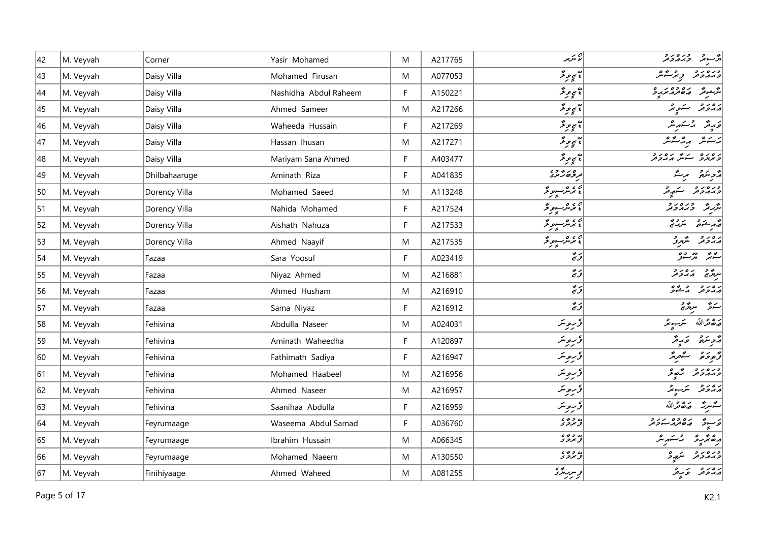|    |           |               |                       |           |         | لأمتزبر                            |                                            |
|----|-----------|---------------|-----------------------|-----------|---------|------------------------------------|--------------------------------------------|
| 42 | M. Veyvah | Corner        | Yasir Mohamed         | ${\sf M}$ | A217765 |                                    | ה היו במחבת                                |
| 43 | M. Veyvah | Daisy Villa   | Mohamed Firusan       | M         | A077053 | ۽ سمج حرقته                        | ورەرو پەرشىر                               |
| 44 | M. Veyvah | Daisy Villa   | Nashidha Abdul Raheem | F         | A150221 | ۽ سمج عرقر                         | شور ده ده دره<br>سرشور مان در مرد          |
| 45 | M. Veyvah | Daisy Villa   | Ahmed Sameer          | M         | A217266 | ن <sup>ه</sup> سمج حرقحه           | أرەرو سەچە                                 |
| 46 | M. Veyvah | Daisy Villa   | Waheeda Hussain       | F         | A217269 | اءُ <sub>مج</sub> ومگر             | ۇربۇ ئەسكىرىگ                              |
| 47 | M. Veyvah | Daisy Villa   | Hassan Ihusan         | M         | A217271 | اءُ <sub>مح</sub> وموگ             | برسكش ماير شكس                             |
| 48 | M. Veyvah | Daisy Villa   | Mariyam Sana Ahmed    | F         | A403477 | ۽ سمج عرقر                         | رەرە كەنگەرەر د                            |
| 49 | M. Veyvah | Dhilbahaaruge | Aminath Riza          | F         | A041835 | و د بر و د<br>ترنز <i>ه ر</i> برد  | أأرمز المحمد المرسنة                       |
| 50 | M. Veyvah | Dorency Villa | Mohamed Saeed         | ${\sf M}$ | A113248 | م محمد شعور محمد<br>محمد المحمد    | ورەرو كەر                                  |
| 51 | M. Veyvah | Dorency Villa | Nahida Mohamed        | F         | A217524 | م محمد سوځه<br>مخينې               | أشرير وره دو                               |
| 52 | M. Veyvah | Dorency Villa | Aishath Nahuza        | F         | A217533 | م بر مر بر<br>د کرمر بر د کر       | أقرم شدة مسترجح                            |
| 53 | M. Veyvah | Dorency Villa | Ahmed Naayif          | M         | A217535 | م<br>كې ئۇيىتر سومۇ                | برەر ئەرى                                  |
| 54 | M. Veyvah | Fazaa         | Sara Yoosuf           | F         | A023419 | ترتج                               | شۇ ھەسىسى                                  |
| 55 | M. Veyvah | Fazaa         | Niyaz Ahmed           | ${\sf M}$ | A216881 | ترتج                               | ייטלים ההכנק                               |
| 56 | M. Veyvah | Fazaa         | Ahmed Husham          | ${\sf M}$ | A216910 | ترتج                               | رەر دېگو                                   |
| 57 | M. Veyvah | Fazaa         | Sama Niyaz            | F         | A216912 | ترتج                               | سَدَّةَ سِرْدَجَ                           |
| 58 | M. Veyvah | Fehivina      | Abdulla Naseer        | M         | A024031 | ۇروپر                              | برة قرالله تترجيحه                         |
| 59 | M. Veyvah | Fehivina      | Aminath Waheedha      | F         | A120897 | ۇروپر                              | أأدوسكم وأرقد                              |
| 60 | M. Veyvah | Fehivina      | Fathimath Sadiya      | F         | A216947 | ۇرەبىر                             | سەٌ تەرەر<br>ۇ بور د                       |
| 61 | M. Veyvah | Fehivina      | Mohamed Haabeel       | ${\sf M}$ | A216956 | ا در مریتر<br>مس <u>رم</u>         | ورەر دىھ                                   |
| 62 | M. Veyvah | Fehivina      | Ahmed Naseer          | ${\sf M}$ | A216957 | ۇروپىر                             | پره د د سرب پر                             |
| 63 | M. Veyvah | Fehivina      | Saanihaa Abdulla      | F         | A216959 | ۇروپىر                             | تحسرته وكافقرالله                          |
| 64 | M. Veyvah | Feyrumaage    | Waseema Abdul Samad   | F         | A036760 | په وي  په<br>  تو مرو  ۍ           | ى سوڭ ھەقىرە بەر دى<br>ئىسمى ھەقىرە سىملىر |
| 65 | M. Veyvah | Feyrumaage    | Ibrahim Hussain       | ${\sf M}$ | A066345 | ، د و و د<br>تو مرتز د             | رەئزىر ئەسكىر                              |
| 66 | M. Veyvah | Feyrumaage    | Mohamed Naeem         | M         | A130550 | پے ح ی ی<br>  تو سرتر <sub>ک</sub> | - - - - - - - مهدم<br>- - - - مهدم         |
| 67 | M. Veyvah | Finihiyaage   | Ahmed Waheed          | ${\sf M}$ | A081255 | او سربر دی<br><u>مرب</u> ر دی      | رەر ئەر                                    |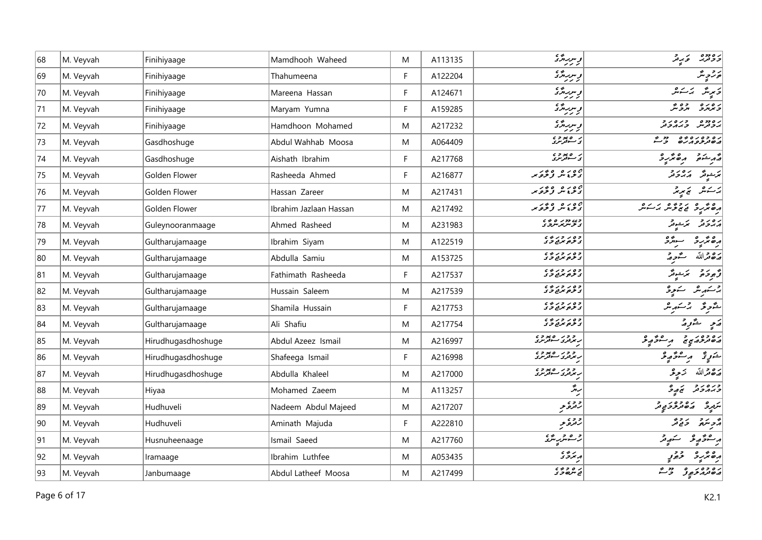| 68 | M. Veyvah | Finihiyaage        | Mamdhooh Waheed        | M           | A113135 | و سربر پرې<br>مرمر                            | ر ه دوه<br>د و تور<br>ءَ برقر                        |
|----|-----------|--------------------|------------------------|-------------|---------|-----------------------------------------------|------------------------------------------------------|
| 69 | M. Veyvah | Finihiyaage        | Thahumeena             | F           | A122204 | و سربر پر د<br>تر سربر پر                     | ىر ج <sub>ە جە</sub> ئىگە                            |
| 70 | M. Veyvah | Finihiyaage        | Mareena Hassan         | $\mathsf F$ | A124671 | و سربر پر د<br>تر سربر پر                     | ۇ برىگە ئەسكىل                                       |
| 71 | M. Veyvah | Finihiyaage        | Maryam Yumna           | E           | A159285 | و سربر پژی<br>تر بر برگ                       | ر ه ر ه<br><del>ر</del> بربر ژ<br>يرو پر             |
| 72 | M. Veyvah | Finihiyaage        | Hamdhoon Mohamed       | M           | A217232 | و سربر پژی<br>تر بر برگ                       | و ره ر و<br><i>د ب</i> رگرمر<br>ر ە دور<br>بر د تر س |
| 73 | M. Veyvah | Gasdhoshuge        | Abdul Wahhab Moosa     | M           | A064409 | ر حدو ،<br>ئەسەتىرىرى                         | ر ه و ه ر ه د ه<br>پره تر تر و بر ر                  |
| 74 | M. Veyvah | Gasdhoshuge        | Aishath Ibrahim        | F           | A217768 | ر ره پر و ،<br>کاسسور رو                      | ړه شوه مې ده.                                        |
| 75 | M. Veyvah | Golden Flower      | Rasheeda Ahmed         | $\mathsf F$ | A216877 | ە ە رە ھەر<br>ئىمى ئىمى ئومۇمىر               | بمرجوش كالمروار                                      |
| 76 | M. Veyvah | Golden Flower      | Hassan Zareer          | M           | A217431 | ە ە رە ھەر<br>ئىمى ئىمى ئوقرى                 | ىرىمىش ئىمرىم                                        |
| 77 | M. Veyvah | Golden Flower      | Ibrahim Jazlaan Hassan | M           | A217492 | ە ە رە ھەر<br>ئىمى ئىمى ئوقرى                 | رەنزىرە يەنزىر بەسىر                                 |
| 78 | M. Veyvah | Guleynooranmaage   | Ahmed Rasheed          | M           | A231983 | وړ، دور ه په ،<br>د نوسرپوسرچ د               | رەرە بەيدۇ.                                          |
| 79 | M. Veyvah | Gultharujamaage    | Ibrahim Siyam          | M           | A122519 | و ه ر و ر پر د<br>د <del>ن</del> ره برای تر د | ە ھەترىر <sup>ى</sup><br>بر ھەترىرى<br>سىدۇ          |
| 80 | M. Veyvah | Gultharujamaage    | Abdulla Samiu          | M           | A153725 | و ه ر و ر د »<br>د <del>ن</del> ره برای تر د  | ەھەراللە<br>ستزور                                    |
| 81 | M. Veyvah | Gultharujamaage    | Fathimath Rasheeda     | F           | A217537 | و ه ر و ر د »<br>د نژه برق ژ د                | تزجوخا متمشيقر                                       |
| 82 | M. Veyvah | Gultharujamaage    | Hussain Saleem         | M           | A217539 | و ہ ر و ر پر پر<br>تح <b>رمی تر</b> ی         | چرىكى سكوچ                                           |
| 83 | M. Veyvah | Gultharujamaage    | Shamila Hussain        | F           | A217753 | و ه ر و ر د »<br>د <del>ن</del> ره برای تر د  | شۇرۇ رقىم بىر                                        |
| 84 | M. Veyvah | Gultharujamaage    | Ali Shafiu             | M           | A217754 | و ه ر و ر د »<br>د <del>ن</del> ره برای تر د  | أرشم المشتورة                                        |
| 85 | M. Veyvah | Hirudhugasdhoshuge | Abdul Azeez Ismail     | M           | A216997 | و و د ر ه پر و ء<br>ر بوتوی سوتوری            | גם כפג<br>גם נקבדה מ<br>ەرسەۋەپەي                    |
| 86 | M. Veyvah | Hirudhugasdhoshuge | Shafeega Ismail        | F           | A216998 | و و ر مه و د و<br>ر بوتوی سوتوسری             | ەرسىۋەپەيجە<br>ڪو <i>و</i> گر                        |
| 87 | M. Veyvah | Hirudhugasdhoshuge | Abdulla Khaleel        | M           | A217000 | و و ر مه و و د<br>ر بوتوی سوتوری              | برە تراللە<br>زًووٌ                                  |
| 88 | M. Veyvah | Hiyaa              | Mohamed Zaeem          | M           | A113257 | رپڙ                                           | כנסנב בקב                                            |
| 89 | M. Veyvah | Hudhuveli          | Nadeem Abdul Majeed    | M           | A217207 | و و ،<br>رتو <sub>ح</sub> و بو                | ىكرىپە ھەھەر ئەر ئىتى ئىل                            |
| 90 | M. Veyvah | Hudhuveli          | Aminath Majuda         | F           | A222810 | و و ،<br>رترو و                               | و سرد دور                                            |
| 91 | M. Veyvah | Husnuheenaage      | Ismail Saeed           | M           | A217760 | <sup>ر</sup> سەمئرىيەتكە                      | ر شۇر ئەر ئىسكىر                                     |
| 92 | M. Veyvah | Iramaage           | Ibrahim Luthfee        | M           | A053435 | ر بر بر بر<br>در بور <del>گ</del> ر           | ە ھەترىر <sup>ە</sup><br>ترجمي                       |
| 93 | M. Veyvah | Janbumaage         | Abdul Latheef Moosa    | M           | A217499 | ر ه د و »<br>تع سرحه تر د                     | حر مشر<br>ر ه و ه د په ه<br>ماه هم مرکز چوکړ         |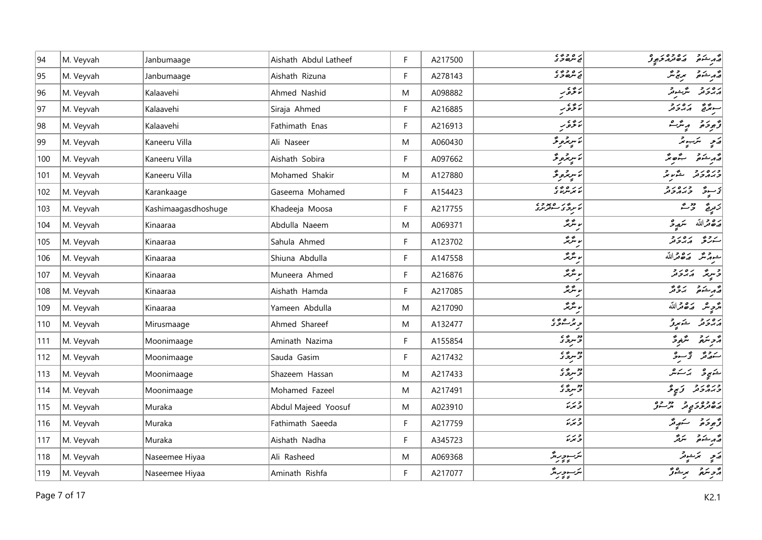| 94  | M. Veyvah | Janbumaage          | Aishath Abdul Latheef | F         | A217500 | پر ۵ ۶ ۶ پ                                         | ה<br>החייים הסמח בית                                  |
|-----|-----------|---------------------|-----------------------|-----------|---------|----------------------------------------------------|-------------------------------------------------------|
| 95  | M. Veyvah | Janbumaage          | Aishath Rizuna        | F.        | A278143 | ر ه د و و ،<br>د سره تر د                          | ۇرمىئو بىر ئىر                                        |
| 96  | M. Veyvah | Kalaavehi           | Ahmed Nashid          | M         | A098882 | لتوعج بر                                           | بر 2 څر د<br>مرکز فر<br>سرٌمشوترٌ                     |
| 97  | M. Veyvah | Kalaavehi           | Siraja Ahmed          | F         | A216885 | ئەقۋىر                                             | سىتقىقى<br>پروژبر                                     |
| 98  | M. Veyvah | Kalaavehi           | Fathimath Enas        | F         | A216913 | ئەقۋىر                                             | قرودة مشت                                             |
| 99  | M. Veyvah | Kaneeru Villa       | Ali Naseer            | M         | A060430 | ئەس <sub>رىتى</sub> رىگە                           | أرمي الكرسومر                                         |
| 100 | M. Veyvah | Kaneeru Villa       | Aishath Sobira        | F         | A097662 | ئەس <sub>رىتى</sub> رىگە                           | ړه شو شوند                                            |
| 101 | M. Veyvah | Kaneeru Villa       | Mohamed Shakir        | M         | A127880 | ئەس <sub>رىتى</sub> رىگە<br>ئە                     | ورەرو شەرو                                            |
| 102 | M. Veyvah | Karankaage          | Gaseema Mohamed       | F         | A154423 | ر ر ه و و ،<br>ما <del>ب</del> ر مرتز <sub>ک</sub> | ائۇسى <i>دۇ</i><br>ئ<br>و ره ر و<br><i>و بر</i> پر تر |
| 103 | M. Veyvah | Kashimaagasdhoshuge | Khadeeja Moosa        | F.        | A217755 | ر سرگر در ۲۵ و د<br>ما مورگر سوفرمور               | زَمِرِةٌ حَ"ــدٌ                                      |
| 104 | M. Veyvah | Kinaaraa            | Abdulla Naeem         | M         | A069371 | ىدىنگە                                             | برە داللە سەر 2                                       |
| 105 | M. Veyvah | Kinaaraa            | Sahula Ahmed          | F         | A123702 | ىرىترىتر                                           | سەرىخە<br>ەر دەر                                      |
| 106 | M. Veyvah | Kinaaraa            | Shiuna Abdulla        | F         | A147558 | ىرىترىتر                                           | خورشر بركوترالله                                      |
| 107 | M. Veyvah | Kinaaraa            | Muneera Ahmed         | F         | A216876 | ىرىترىتر                                           | وسرپر برورو                                           |
| 108 | M. Veyvah | Kinaaraa            | Aishath Hamda         | F         | A217085 | ىدىنگە                                             | أوالمر مشكوم المردانكر                                |
| 109 | M. Veyvah | Kinaaraa            | Yameen Abdulla        | M         | A217090 | ىدىنىگە                                            | م <i>ُرْحٍى مَـ صُ</i> قْراللّه                       |
| 110 | M. Veyvah | Mirusmaage          | Ahmed Shareef         | M         | A132477 | د بر شوی                                           | د ه د د سر د پروژ                                     |
| 111 | M. Veyvah | Moonimaage          | Aminath Nazima        | F         | A155854 | ود سرچ ی<br>څسرچ <sub>ک</sub>                      | أأترسكم<br>سَّرْمُ رَّ                                |
| 112 | M. Veyvah | Moonimaage          | Sauda Gasim           | F         | A217432 | دو په په<br>د سرچ د                                | سەر ئۇسىر ئە                                          |
| 113 | M. Veyvah | Moonimaage          | Shazeem Hassan        | M         | A217433 | اد سرچ ی<br>  سرچ <sub>ک</sub>                     | ىر ئەنگە<br>شەي ۋ                                     |
| 114 | M. Veyvah | Moonimaage          | Mohamed Fazeel        | M         | A217491 | ود سرچ ی<br>څسرچ <sub>ک</sub>                      | ورەرو كېچ                                             |
| 115 | M. Veyvah | Muraka              | Abdul Majeed Yoosuf   | ${\sf M}$ | A023910 | ويرر                                               | קם כם ק"כ"כ פרי<br>המשתיכפת הקליינ                    |
| 116 | M. Veyvah | Muraka              | Fathimath Saeeda      | F         | A217759 | ويرر                                               | ۇ بۇ ئەھمەتگە                                         |
| 117 | M. Veyvah | Muraka              | Aishath Nadha         | F         | A345723 | ويرز                                               | م<br>مەستىم تىگ                                       |
| 118 | M. Veyvah | Naseemee Hiyaa      | Ali Rasheed           | M         | A069368 |                                                    | أرشح المخرجة                                          |
| 119 | M. Veyvah | Naseemee Hiyaa      | Aminath Rishfa        | F         | A217077 | ىئەسىزىرىدۇ.<br>ئىستىقىسى                          | أأدوسكم المتحمد                                       |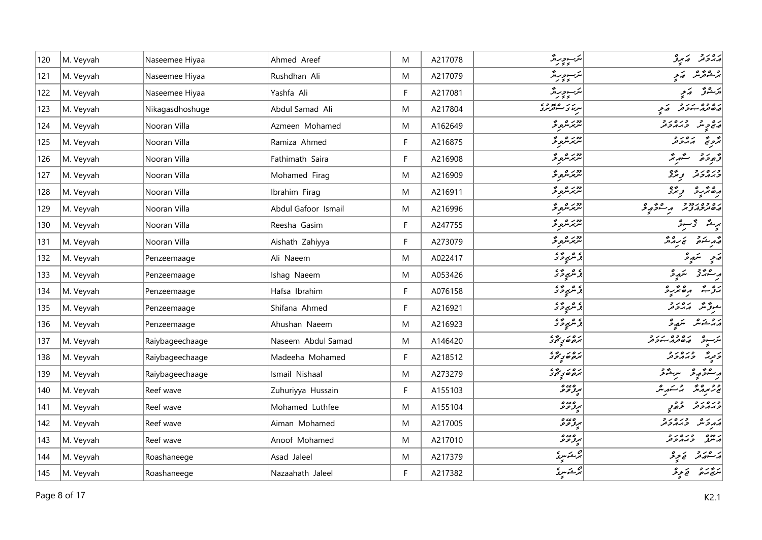| 120 | M. Veyvah | Naseemee Hiyaa  | Ahmed Areef         | M           | A217078 | ىئەسەدىرىد<br>ئىسسىم                               | أرور و بر و                                            |
|-----|-----------|-----------------|---------------------|-------------|---------|----------------------------------------------------|--------------------------------------------------------|
| 121 | M. Veyvah | Naseemee Hiyaa  | Rushdhan Ali        | M           | A217079 | ىئەسەدىرىد<br>ئىس <u>سىقى</u> س                    | ى <sub>رىش</sub> وترى <i>ر</i>                         |
| 122 | M. Veyvah | Naseemee Hiyaa  | Yashfa Ali          | $\mathsf F$ | A217081 | ىئەسىزىرىدىگە<br>ئەسىرىدىن                         | أترجش وتميم                                            |
| 123 | M. Veyvah | Nikagasdhoshuge | Abdul Samad Ali     | M           | A217804 | سربر کر صد و بر<br>سربر ک <del>ے شر</del> سری      | גם כם גגב ביצ                                          |
| 124 | M. Veyvah | Nooran Villa    | Azmeen Mohamed      | M           | A162649 | يز پر سره په تر                                    | و ره ر و<br><i>و پر</i> و تر<br>ره چ چ <sub>ې</sub> تر |
| 125 | M. Veyvah | Nooran Villa    | Ramiza Ahmed        | $\mathsf F$ | A216875 | ەر بە<br>سرىر سرە <sub>ب</sub> ە ئە                | ترویج پروژو                                            |
| 126 | M. Veyvah | Nooran Villa    | Fathimath Saira     | F           | A216908 | يزىر عرمو ځر                                       | ژوځو څړند                                              |
| 127 | M. Veyvah | Nooran Villa    | Mohamed Firag       | M           | A216909 | يز پر سره گر                                       | ورەرد پەر                                              |
| 128 | M. Veyvah | Nooran Villa    | Ibrahim Firag       | M           | A216911 | دد بر ه<br>سربر سره څ                              | وەترىر وترقى                                           |
| 129 | M. Veyvah | Nooran Villa    | Abdul Gafoor Ismail | M           | A216996 | يزبر عرعه قر                                       | גם כם גדב כדי הרייבה.<br>הסתיבה ציב הרייבה.            |
| 130 | M. Veyvah | Nooran Villa    | Reesha Gasim        | F           | A247755 | دد بر ه <sub>رم</sub> و ځه                         | ا پرېنځ ت <del>خ د</del> رمح                           |
| 131 | M. Veyvah | Nooran Villa    | Aishath Zahiyya     | F.          | A273079 | يز پر سره گر                                       |                                                        |
| 132 | M. Veyvah | Penzeemaage     | Ali Naeem           | M           | A022417 | ې مر <sub>مو</sub> ځ ئه                            | ړې شمېره                                               |
| 133 | M. Veyvah | Penzeemaage     | Ishag Naeem         | M           | A053426 | ې مر <sub>مو</sub> په ،<br>د مر <sub>مو</sub> تر د | وحدة متدفح                                             |
| 134 | M. Veyvah | Penzeemaage     | Hafsa Ibrahim       | F           | A076158 | ې ش <sub>مې</sub> و <sup>ي</sup>                   | بروج مرەمجرىرو                                         |
| 135 | M. Veyvah | Penzeemaage     | Shifana Ahmed       | F           | A216921 | ې ش <sub>ېپو</sub> تر د                            | جوگر پره رو                                            |
| 136 | M. Veyvah | Penzeemaage     | Ahushan Naeem       | M           | A216923 | ې ه <sub>رىپ</sub> ئ <sup>ې</sup>                  | كالاستكاش التمهافي                                     |
| 137 | M. Veyvah | Raiybageechaage | Naseem Abdul Samad  | M           | A146420 | پره پر په په<br>  بره په په په د                   | ر ٥ ٥ ٥ ٥ ر ر و<br>پره تر پر سور تر<br>ىئەسەۋ          |
| 138 | M. Veyvah | Raiybageechaage | Madeeha Mohamed     | F           | A218512 | بره د په دي.<br>مرکزه <sub>کو</sub> کړې            | و رە ر د<br>تر پر تر تر<br>  ئەرىبە                    |
| 139 | M. Veyvah | Raiybageechaage | Ismail Nishaal      | M           | A273279 | بره د په دي.<br>مرکزه <sub>کو</sub> کړې            | ر ھۇرپۇ سىھۇ                                           |
| 140 | M. Veyvah | Reef wave       | Zuhuriyya Hussain   | F           | A155103 | ا پروژه ه<br>پروژه ه                               | ככ פי ה ב מית יי                                       |
| 141 | M. Veyvah | Reef wave       | Mohamed Luthfee     | M           | A155104 | ە يەە<br>بىرتى جو ج                                | ورەرو وو                                               |
| 142 | M. Veyvah | Reef wave       | Aiman Mohamed       | M           | A217005 | ە دە دە<br>بىرتى ھ                                 | ההכית בגםכת                                            |
| 143 | M. Veyvah | Reef wave       | Anoof Mohamed       | M           | A217010 | ە يەە<br>بىرتى جو ج                                | و ره ر د<br><i>د ب</i> رگرفر<br>ر دوه<br>د سرو         |
| 144 | M. Veyvah | Roashaneege     | Asad Jaleel         | M           | A217379 | لتحريضه يدعج                                       | أراق ويمني في المحمد في المحمد المراجع                 |
| 145 | M. Veyvah | Roashaneege     | Nazaahath Jaleel    | F           | A217382 | ترڪسري<br>ترڪس                                     | يرور و و د                                             |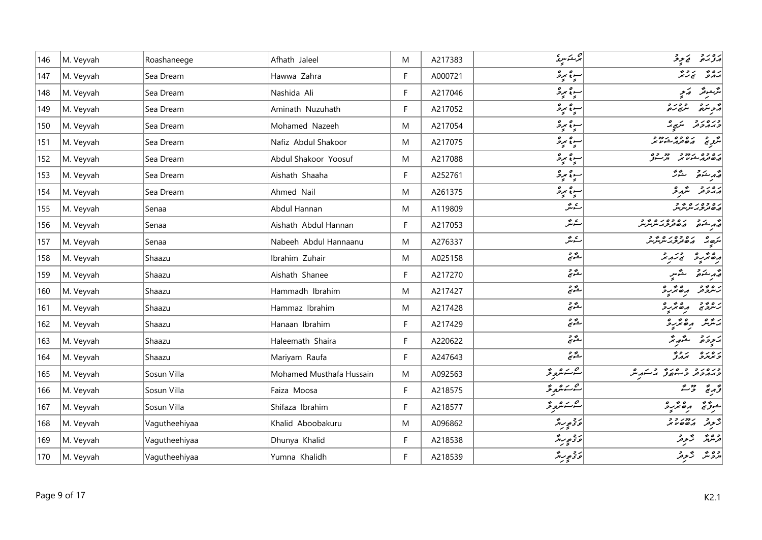| 146 | M. Veyvah | Roashaneege   | Afhath Jaleel            | M  | A217383 | ئۇيغۇمىيە ئە                                                                                                      | بر و بر د<br>مرکز بر می<br>تح وٍ وَ                    |
|-----|-----------|---------------|--------------------------|----|---------|-------------------------------------------------------------------------------------------------------------------|--------------------------------------------------------|
| 147 | M. Veyvah | Sea Dream     | Hawwa Zahra              | F  | A000721 | ب ه<br>په عمره<br>په                                                                                              | رەپچ<br>ىئەشرىقى                                       |
| 148 | M. Veyvah | Sea Dream     | Nashida Ali              | F  | A217046 | بەء بىرد                                                                                                          | ش د کرد.<br>سرمورد کرد                                 |
| 149 | M. Veyvah | Sea Dream     | Aminath Nuzuhath         | F  | A217052 | ے ہ <sup>ی برد</sup> د                                                                                            | وتحريبهم<br>پر پر پر پر<br>سرچ رکھی                    |
| 150 | M. Veyvah | Sea Dream     | Mohamed Nazeeh           | M  | A217054 | $\begin{array}{c} \circ \\ \circ \circ \\ \circ \end{array} \begin{array}{c} \circ \\ \circ \\ \circ \end{array}$ | ورەر دىرى                                              |
| 151 | M. Veyvah | Sea Dream     | Nafiz Abdul Shakoor      | M  | A217075 | بەء بىرد                                                                                                          | شرح ده وه دود و<br>سرد شهره شور سر                     |
| 152 | M. Veyvah | Sea Dream     | Abdul Shakoor Yoosuf     | M  | A217088 | ے ہ <sup>ی برد</sup> د                                                                                            | ره وه رود و وه وه<br>هاده تره شونو بر افزار            |
| 153 | M. Veyvah | Sea Dream     | Aishath Shaaha           | F  | A252761 | سوء <b>ې</b> پر د<br>په                                                                                           | وكرم شكوم المشركر                                      |
| 154 | M. Veyvah | Sea Dream     | Ahmed Nail               | M  | A261375 | بەء بىرد                                                                                                          | أرەر ئەربى                                             |
| 155 | M. Veyvah | Senaa         | Abdul Hannan             | M  | A119809 | ئەيتر                                                                                                             | ره وه ره مرو<br>پره تروبر سرس                          |
| 156 | M. Veyvah | Senaa         | Aishath Abdul Hannan     | F  | A217053 | سەمىر                                                                                                             | ر ٥ ر ٥ ر ٥ ر و م<br>پره ترموبر سرس<br>پە<br>مەم شىخ ھ |
| 157 | M. Veyvah | Senaa         | Nabeeh Abdul Hannaanu    | M  | A276337 | ئەيتر                                                                                                             | سرچە<br>ر ه د وه ر ه رو د                              |
| 158 | M. Veyvah | Shaazu        | Ibrahim Zuhair           | M  | A025158 | سترمج                                                                                                             | ە ھەترىرى<br>م<br>ىچ ئەمرىتىر                          |
| 159 | M. Veyvah | Shaazu        | Aishath Shanee           | F  | A217270 | شەم                                                                                                               | و مر به در د<br>مر                                     |
| 160 | M. Veyvah | Shaazu        | Hammadh Ibrahim          | M  | A217427 | شەم                                                                                                               | ر ۱۳۵۵ و.<br>تر سرگ <sup>و</sup> تر<br>مەھمەرچ         |
| 161 | M. Veyvah | Shaazu        | Hammaz Ibrahim           | M  | A217428 | شەم                                                                                                               | ە ھەترىر <sup>ە</sup><br>ر ۱۵۵ و<br>رسرچ مح            |
| 162 | M. Veyvah | Shaazu        | Hanaan Ibrahim           | F. | A217429 | شَدَّج                                                                                                            | رە ئرىر<br>برىتزىتر                                    |
| 163 | M. Veyvah | Shaazu        | Haleemath Shaira         | F  | A220622 | شەم                                                                                                               | شگەر تر<br>  پر پوځ و                                  |
| 164 | M. Veyvah | Shaazu        | Mariyam Raufa            | F  | A247643 | ے جم                                                                                                              | رەرە روپە                                              |
| 165 | M. Veyvah | Sosun Villa   | Mohamed Musthafa Hussain | M  | A092563 | <u>شر ئەشرە</u> ئ <sup>ۇ</sup>                                                                                    | ورەرو وەرە ويەر                                        |
| 166 | M. Veyvah | Sosun Villa   | Faiza Moosa              | F  | A218575 | <u>مەسە ئەر</u>                                                                                                   | دين مشر<br>اقرمر پخ                                    |
| 167 | M. Veyvah | Sosun Villa   | Shifaza Ibrahim          | F. | A218577 | ح ئەسەھ <sub>ى</sub> ئە                                                                                           | احدقجج<br>ەرھەترىر <sup>9</sup>                        |
| 168 | M. Veyvah | Vagutheehiyaa | Khalid Aboobakuru        | M  | A096862 | ئۈتجە بېرىتىر                                                                                                     | נחינים<br>גם סיטיב<br>تزمرتر                           |
| 169 | M. Veyvah | Vagutheehiyaa | Dhunya Khalid            | F  | A218538 | ئۈتۈمچە سەپىر<br>                                                                                                 | و ه پر<br>ترس<br>رَّحْرِ قُرْ                          |
| 170 | M. Veyvah | Vagutheehiyaa | Yumna Khalidh            | F  | A218539 | ئۈتۈمچە سەپىر<br>                                                                                                 | وه پر رگرونر                                           |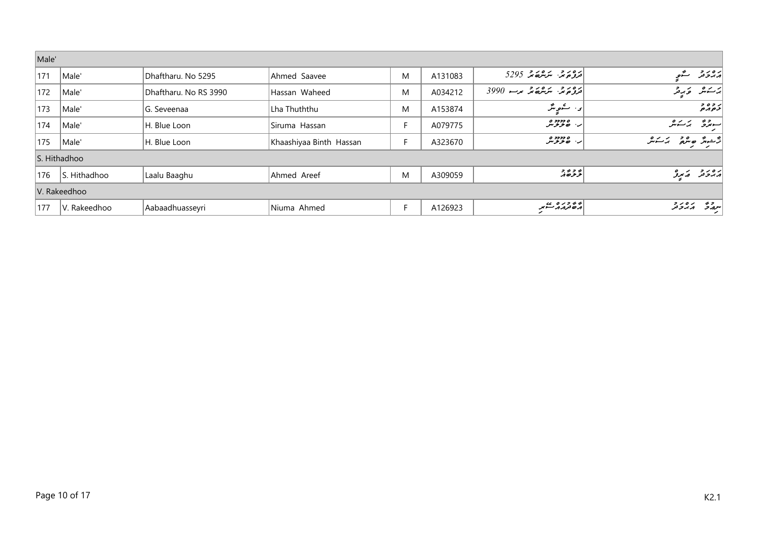| Male' |                |                       |                         |   |         |                                |                          |
|-------|----------------|-----------------------|-------------------------|---|---------|--------------------------------|--------------------------|
| 171   | Male'          | Dhaftharu. No 5295    | Ahmed Saavee            | M | A131083 | موروبہ سرگرمنے مگر 5295        | پر و و                   |
| 172   | Male'          | Dhaftharu. No RS 3990 | Hassan Waheed           | M | A034212 | ئۇرۇپمى: سەبىھ ئىم ئىرسىز 3990 | پرَسَمَسُ کَهَ پِرْ قُرْ |
| 173   | Male'          | IG. Seveenaa          | Lha Thuththu            | M | A153874 | <sub>ی</sub> . سکوپنگر         | پر و ه و<br>  نده و ه    |
| 174   | Male'          | H. Blue Loon          | Siruma Hassan           |   | A079775 | ه دودوه<br>ر۰ گامومتر          | سەپرى<br>برَسەمىر        |
| 175   | Male'          | H. Blue Loon          | Khaashiyaa Binth Hassan |   | A323670 | 0 2222 0<br>ر . ھۆتۈش          | گزشەرگە ھەسمى كەككەش     |
|       | S. Hithadhoo   |                       |                         |   |         |                                |                          |
| 176   | l S. Hithadhoo | Laalu Baaghu          | Ahmed Areef             | M | A309059 | تروژة                          | أرەر ئەيرى               |
|       | V. Rakeedhoo   |                       |                         |   |         |                                |                          |
| 177   | IV. Rakeedhoo  | Aabaadhuasseyri       | Niuma Ahmed             |   | A126923 | ۶۶۶۶۶ می<br>مەمىرى مەسىر       | سرونځ<br>پرور و          |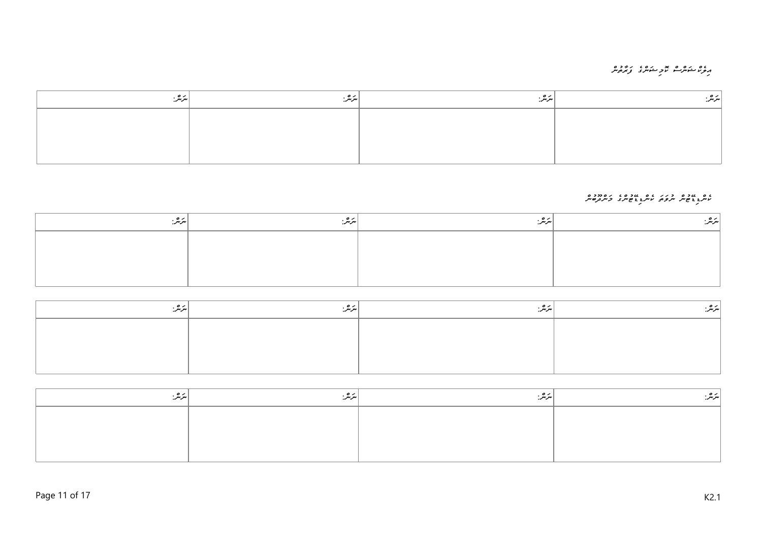## *w7qAn8m? sCw7mRo>u; wEw7mRw;sBo<*

| ' مرمر | 'يئرىثر: |
|--------|----------|
|        |          |
|        |          |
|        |          |

## *w7q9r@w7m> sCw7qHtFoFw7s; mAm=q7 w7qHtFoFw7s;*

| ىر تە | $\mathcal{O} \times$<br>$\sim$ | $\sim$<br>. . | لترنثر |
|-------|--------------------------------|---------------|--------|
|       |                                |               |        |
|       |                                |               |        |
|       |                                |               |        |

| $\frac{2}{n}$ | $\overline{\phantom{a}}$ | اير هنه. | $\mathcal{O} \times$<br>سرسر |
|---------------|--------------------------|----------|------------------------------|
|               |                          |          |                              |
|               |                          |          |                              |
|               |                          |          |                              |

| ىرتىر: | 。<br>سر سر | .,<br>مرسر |
|--------|------------|------------|
|        |            |            |
|        |            |            |
|        |            |            |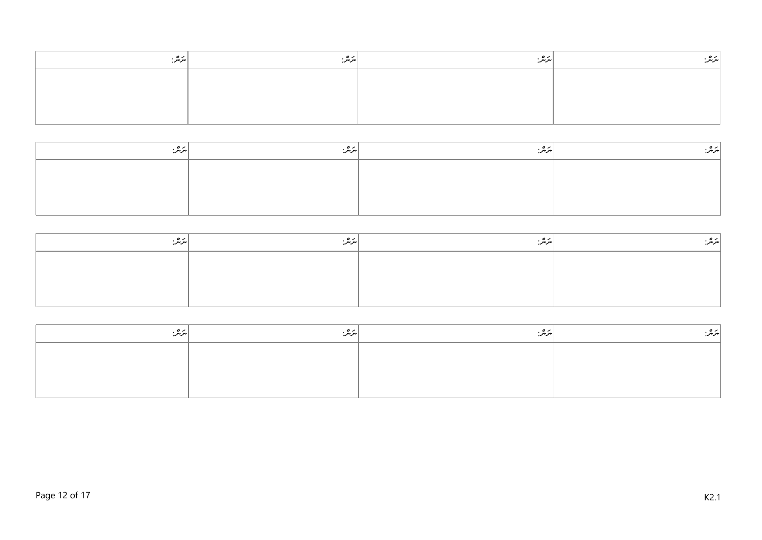| يره. | ο. | ا ير ه |  |
|------|----|--------|--|
|      |    |        |  |
|      |    |        |  |
|      |    |        |  |

| <sup>.</sup> سرسر. |  |
|--------------------|--|
|                    |  |
|                    |  |
|                    |  |

| ىئرىتر. | $\sim$ | ا بر هه. | لىرىش |
|---------|--------|----------|-------|
|         |        |          |       |
|         |        |          |       |
|         |        |          |       |

| 。<br>مرس. | $\overline{\phantom{a}}$<br>مر مىر | يتريثر |
|-----------|------------------------------------|--------|
|           |                                    |        |
|           |                                    |        |
|           |                                    |        |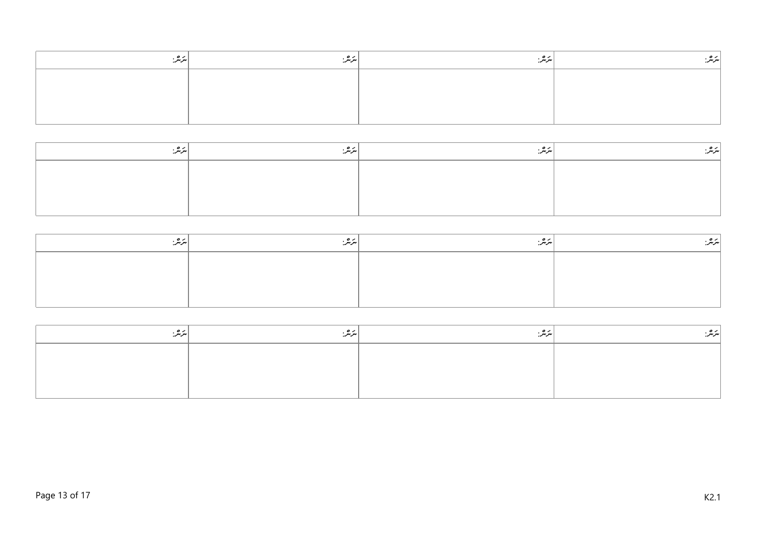| ير هو . | $\overline{\phantom{a}}$ | يرمر | اير هنه. |
|---------|--------------------------|------|----------|
|         |                          |      |          |
|         |                          |      |          |
|         |                          |      |          |

| ىر تىر: | $\circ$ $\sim$<br>" سرسر . | يترمير | o . |
|---------|----------------------------|--------|-----|
|         |                            |        |     |
|         |                            |        |     |
|         |                            |        |     |

| الترنثر: | ' مرتكز: | الترنثر: | .,<br>سرسر. |
|----------|----------|----------|-------------|
|          |          |          |             |
|          |          |          |             |
|          |          |          |             |

|  | . ه |
|--|-----|
|  |     |
|  |     |
|  |     |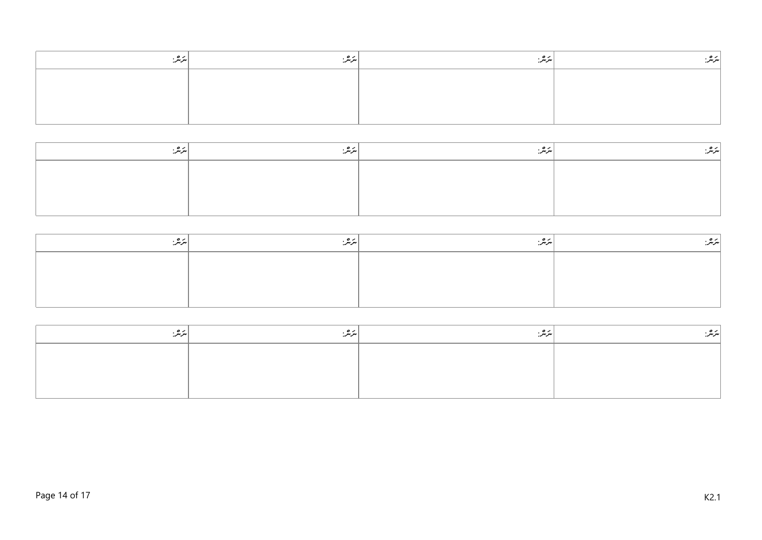| ير هو . | $\overline{\phantom{a}}$ | يرمر | اير هنه. |
|---------|--------------------------|------|----------|
|         |                          |      |          |
|         |                          |      |          |
|         |                          |      |          |

| ئىرتىر: | $\sim$<br>ا سرسر . | يئرمثر | o . |
|---------|--------------------|--------|-----|
|         |                    |        |     |
|         |                    |        |     |
|         |                    |        |     |

| الترنثر: | ' مرتكز: | الترنثر: | .,<br>سرسر. |
|----------|----------|----------|-------------|
|          |          |          |             |
|          |          |          |             |
|          |          |          |             |

|  | . ه |
|--|-----|
|  |     |
|  |     |
|  |     |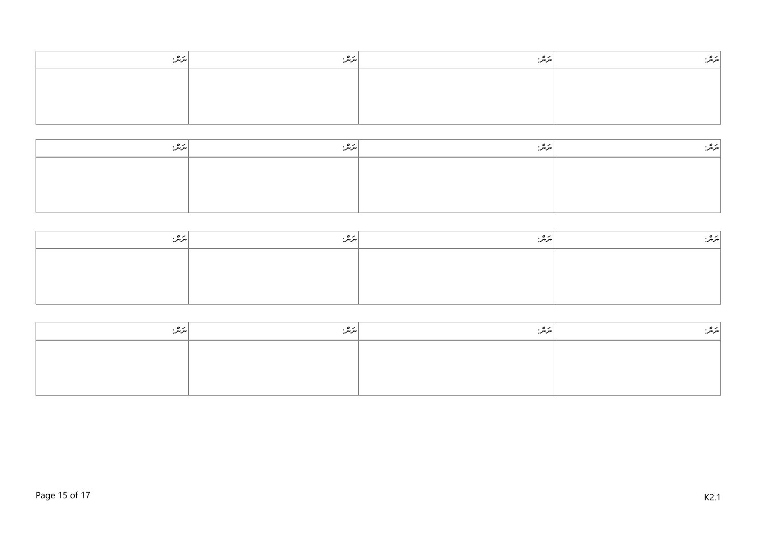| $\cdot$ | ο. | $\frac{\circ}{\cdot}$ | $\sim$<br>سرسر |
|---------|----|-----------------------|----------------|
|         |    |                       |                |
|         |    |                       |                |
|         |    |                       |                |

| يريثن | ' سرسر . |  |
|-------|----------|--|
|       |          |  |
|       |          |  |
|       |          |  |

| بر ه | 。 | $\overline{\phantom{0}}$<br>َ سومس. |  |
|------|---|-------------------------------------|--|
|      |   |                                     |  |
|      |   |                                     |  |
|      |   |                                     |  |

| 。<br>. س | ىرىىر |  |
|----------|-------|--|
|          |       |  |
|          |       |  |
|          |       |  |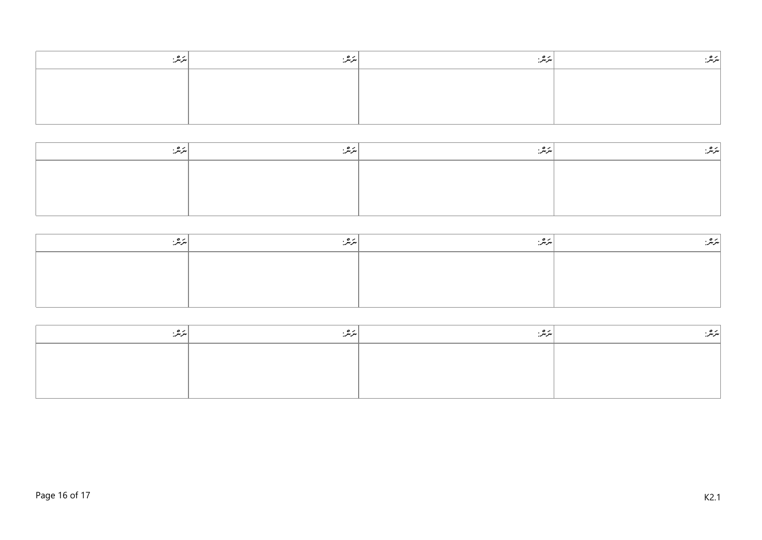| ير هو . | $\overline{\phantom{a}}$ | يرمر | اير هنه. |
|---------|--------------------------|------|----------|
|         |                          |      |          |
|         |                          |      |          |
|         |                          |      |          |

| ىر تىر: | $\circ$ $\sim$<br>" سرسر . | يترمير | o . |
|---------|----------------------------|--------|-----|
|         |                            |        |     |
|         |                            |        |     |
|         |                            |        |     |

| الترنثر: | ' مرتكز: | الترنثر: | .,<br>سرس. |
|----------|----------|----------|------------|
|          |          |          |            |
|          |          |          |            |
|          |          |          |            |

|  | . ه |
|--|-----|
|  |     |
|  |     |
|  |     |